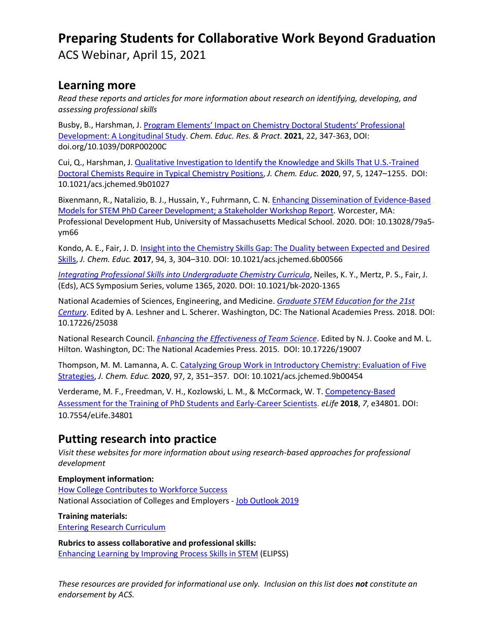# **Preparing Students for Collaborative Work Beyond Graduation**

ACS Webinar, April 15, 2021

### **Learning more**

*Read these reports and articles for more information about research on identifying, developing, and assessing professional skills*

Busby, B., Harshman, J. [Program Elements' Impact on Chemistry Doctoral Students' Professional](https://pubs.rsc.org/en/content/articlelanding/2021/RP/D0RP00200C#!divAbstract)  [Development: A Longitudinal Study.](https://pubs.rsc.org/en/content/articlelanding/2021/RP/D0RP00200C#!divAbstract) *Chem. Educ. Res. & Pract*. **2021**, 22, 347-363, DOI: doi.org/10.1039/D0RP00200C

Cui, Q., Harshman, J[. Qualitative Investigation to Identify the Knowledge and](https://pubs.acs.org/doi/10.1021/acs.jchemed.9b01027) Skills That U.S.-Trained [Doctoral Chemists Require in Typical Chemistry Positions,](https://pubs.acs.org/doi/10.1021/acs.jchemed.9b01027) *J. Chem. Educ.* **2020**, 97, 5, 1247–1255. DOI: 10.1021/acs.jchemed.9b01027

Bixenmann, R., Natalizio, B. J., Hussain, Y., Fuhrmann, C. N[. Enhancing Dissemination of Evidence-Based](https://doi.org/10.13028/79a5-ym66)  [Models for STEM PhD Career Development; a Stakeholder Workshop Report.](https://doi.org/10.13028/79a5-ym66) Worcester, MA: Professional Development Hub, University of Massachusetts Medical School. 2020. DOI: 10.13028/79a5 ym66

Kondo, A. E., Fair, J. D. [Insight into the Chemistry Skills Gap: The Duality between Expected and Desired](https://pubs.acs.org/doi/10.1021/acs.jchemed.6b00566)  [Skills,](https://pubs.acs.org/doi/10.1021/acs.jchemed.6b00566) *J. Chem. Educ.* **2017**, 94, 3, 304–310. DOI: 10.1021/acs.jchemed.6b00566

*[Integrating Professional Skills into Undergraduate Chemistry Curricula](https://pubs.acs.org/isbn/9780841298668)*, Neiles, K. Y., Mertz, P. S., Fair, J. (Eds), ACS Symposium Series, volume 1365, 2020. DOI: 10.1021/bk-2020-1365

National Academies of Sciences, Engineering, and Medicine. *[Graduate STEM Education for the 21st](https://www.nap.edu/catalog/25038/graduate-stem-education-for-the-21st-century)  [Century](https://www.nap.edu/catalog/25038/graduate-stem-education-for-the-21st-century)*. Edited by A. Leshner and L. Scherer. Washington, DC: The National Academies Press. 2018. DOI: 10.17226/25038

National Research Council. *[Enhancing the Effectiveness of Team](https://www.nap.edu/catalog/19007/enhancing-the-effectiveness-of-team-science) Science*. Edited by N. J. Cooke and M. L. Hilton. Washington, DC: The National Academies Press. 2015. DOI: 10.17226/19007

Thompson, M. M. Lamanna, A. C[. Catalyzing Group Work in Introductory Chemistry: Evaluation of Five](https://doi.org/10.1021/acs.jchemed.9b00454)  [Strategies,](https://doi.org/10.1021/acs.jchemed.9b00454) *J. Chem. Educ.* **2020**, 97, 2, 351–357. DOI: 10.1021/acs.jchemed.9b00454

Verderame, M. F., Freedman, V. H., Kozlowski, L. M., & McCormack, W. T. [Competency-Based](https://doi.org/10.7554/eLife.34801)  [Assessment for the Training of PhD Students and Early-Career Scientists.](https://doi.org/10.7554/eLife.34801) *eLife* **2018**, *7*, e34801. DOI: 10.7554/eLife.34801

### **Putting research into practice**

*Visit these websites for more information about using research-based approaches for professional development*

**Employment information:** [How College Contributes to Workforce Success](https://www.aacu.org/new-report-employer-views-higher-education) National Association of Colleges and Employers - [Job Outlook 2019](https://www.naceweb.org/talent-acquisition/candidate-selection/employers-want-to-see-these-attributes-on-students-resumes/)

**Training materials:**

[Entering Research Curriculum](https://wiscience.wisc.edu/program/entering-research)

**Rubrics to assess collaborative and professional skills:** [Enhancing Learning by Improving Process Skills in STEM](https://elipss.com/index.html) (ELIPSS)

*These resources are provided for informational use only. Inclusion on this list does not constitute an endorsement by ACS.*